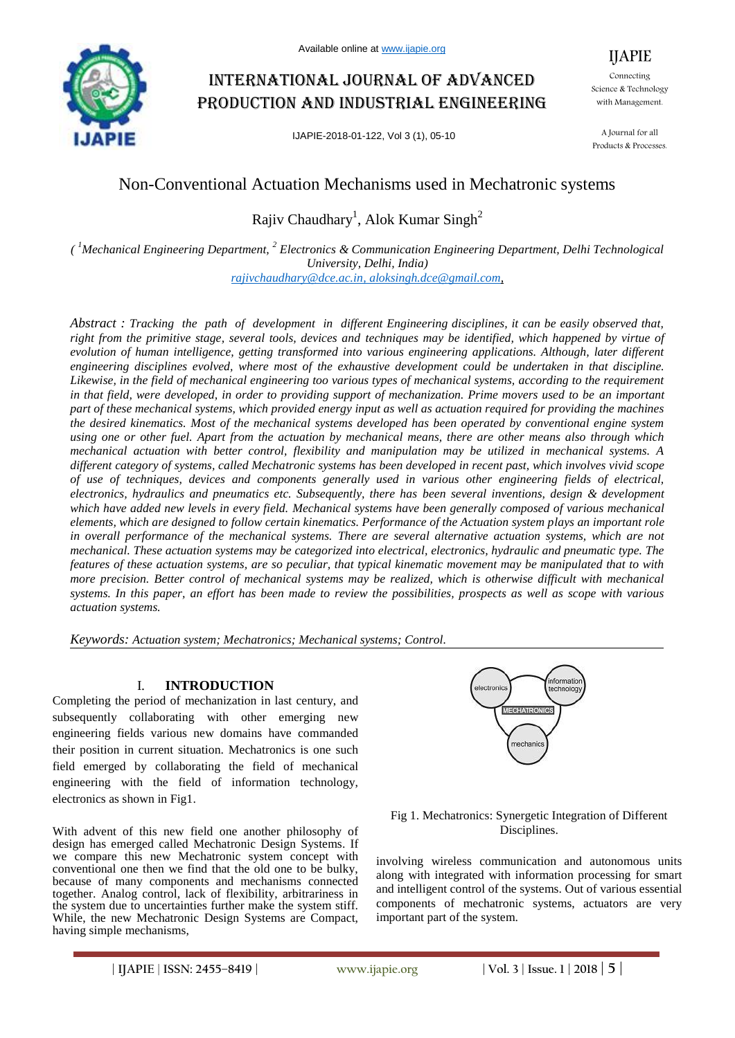

# International journal of advanced production and industrial engineering

IJAPIE-2018-01-122, Vol 3 (1), 05-10

Connecting Science & Technology with Management.

IJAPIE

A Journal for all Products & Processes.

# Non-Conventional Actuation Mechanisms used in Mechatronic systems

Rajiv Chaudhary<sup>1</sup>, Alok Kumar Singh<sup>2</sup>

*( <sup>1</sup>Mechanical Engineering Department, <sup>2</sup> Electronics & Communication Engineering Department, Delhi Technological University, Delhi, India)*

*rajivchaudhary@dce.ac.in, aloksingh.dce@gmail.com,*

*Abstract : Tracking the path of development in different Engineering disciplines, it can be easily observed that, right from the primitive stage, several tools, devices and techniques may be identified, which happened by virtue of evolution of human intelligence, getting transformed into various engineering applications. Although, later different engineering disciplines evolved, where most of the exhaustive development could be undertaken in that discipline. Likewise, in the field of mechanical engineering too various types of mechanical systems, according to the requirement*  in that field, were developed, in order to providing support of mechanization. Prime movers used to be an important *part of these mechanical systems, which provided energy input as well as actuation required for providing the machines the desired kinematics. Most of the mechanical systems developed has been operated by conventional engine system using one or other fuel. Apart from the actuation by mechanical means, there are other means also through which mechanical actuation with better control, flexibility and manipulation may be utilized in mechanical systems. A different category of systems, called Mechatronic systems has been developed in recent past, which involves vivid scope of use of techniques, devices and components generally used in various other engineering fields of electrical, electronics, hydraulics and pneumatics etc. Subsequently, there has been several inventions, design & development which have added new levels in every field. Mechanical systems have been generally composed of various mechanical elements, which are designed to follow certain kinematics. Performance of the Actuation system plays an important role in overall performance of the mechanical systems. There are several alternative actuation systems, which are not mechanical. These actuation systems may be categorized into electrical, electronics, hydraulic and pneumatic type. The features of these actuation systems, are so peculiar, that typical kinematic movement may be manipulated that to with more precision. Better control of mechanical systems may be realized, which is otherwise difficult with mechanical systems. In this paper, an effort has been made to review the possibilities, prospects as well as scope with various actuation systems.*

*Keywords: Actuation system; Mechatronics; Mechanical systems; Control.*

# I. **INTRODUCTION**

Completing the period of mechanization in last century, and subsequently collaborating with other emerging new engineering fields various new domains have commanded their position in current situation. Mechatronics is one such field emerged by collaborating the field of mechanical engineering with the field of information technology, electronics as shown in Fig1.

With advent of this new field one another philosophy of design has emerged called Mechatronic Design Systems. If we compare this new Mechatronic system concept with conventional one then we find that the old one to be bulky, because of many components and mechanisms connected together. Analog control, lack of flexibility, arbitrariness in the system due to uncertainties further make the system stiff. While, the new Mechatronic Design Systems are Compact, having simple mechanisms,



### Fig 1. Mechatronics: Synergetic Integration of Different Disciplines.

involving wireless communication and autonomous units along with integrated with information processing for smart and intelligent control of the systems. Out of various essential components of mechatronic systems, actuators are very important part of the system.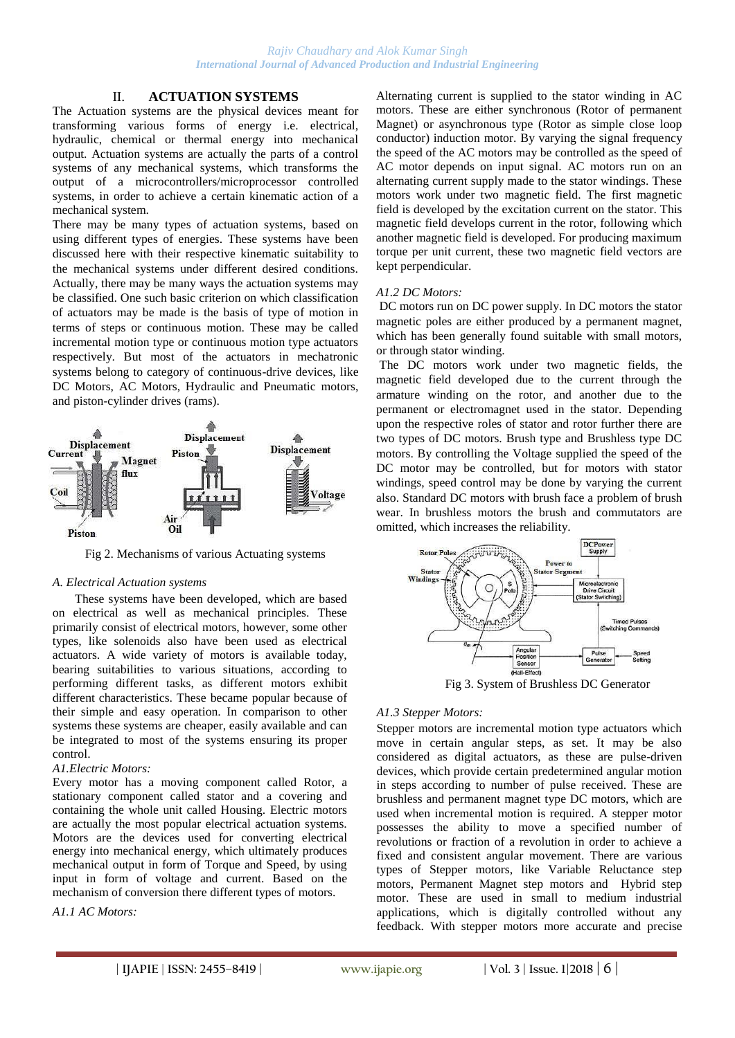# II. **ACTUATION SYSTEMS**

The Actuation systems are the physical devices meant for transforming various forms of energy i.e. electrical, hydraulic, chemical or thermal energy into mechanical output. Actuation systems are actually the parts of a control systems of any mechanical systems, which transforms the output of a microcontrollers/microprocessor controlled systems, in order to achieve a certain kinematic action of a mechanical system.

There may be many types of actuation systems, based on using different types of energies. These systems have been discussed here with their respective kinematic suitability to the mechanical systems under different desired conditions. Actually, there may be many ways the actuation systems may be classified. One such basic criterion on which classification of actuators may be made is the basis of type of motion in terms of steps or continuous motion. These may be called incremental motion type or continuous motion type actuators respectively. But most of the actuators in mechatronic systems belong to category of continuous-drive devices, like DC Motors, AC Motors, Hydraulic and Pneumatic motors, and piston-cylinder drives (rams).



Fig 2. Mechanisms of various Actuating systems

#### *A. Electrical Actuation systems*

These systems have been developed, which are based on electrical as well as mechanical principles. These primarily consist of electrical motors, however, some other types, like solenoids also have been used as electrical actuators. A wide variety of motors is available today, bearing suitabilities to various situations, according to performing different tasks, as different motors exhibit different characteristics. These became popular because of their simple and easy operation. In comparison to other systems these systems are cheaper, easily available and can be integrated to most of the systems ensuring its proper control.

#### *A1.Electric Motors:*

Every motor has a moving component called Rotor, a stationary component called stator and a covering and containing the whole unit called Housing. Electric motors are actually the most popular electrical actuation systems. Motors are the devices used for converting electrical energy into mechanical energy, which ultimately produces mechanical output in form of Torque and Speed, by using input in form of voltage and current. Based on the mechanism of conversion there different types of motors.

*A1.1 AC Motors:*

Alternating current is supplied to the stator winding in AC motors. These are either synchronous (Rotor of permanent Magnet) or asynchronous type (Rotor as simple close loop conductor) induction motor. By varying the signal frequency the speed of the AC motors may be controlled as the speed of AC motor depends on input signal. AC motors run on an alternating current supply made to the stator windings. These motors work under two magnetic field. The first magnetic field is developed by the excitation current on the stator. This magnetic field develops current in the rotor, following which another magnetic field is developed. For producing maximum torque per unit current, these two magnetic field vectors are kept perpendicular.

#### *A1.2 DC Motors:*

DC motors run on DC power supply. In DC motors the stator magnetic poles are either produced by a permanent magnet, which has been generally found suitable with small motors, or through stator winding.

The DC motors work under two magnetic fields, the magnetic field developed due to the current through the armature winding on the rotor, and another due to the permanent or electromagnet used in the stator. Depending upon the respective roles of stator and rotor further there are two types of DC motors. Brush type and Brushless type DC motors. By controlling the Voltage supplied the speed of the DC motor may be controlled, but for motors with stator windings, speed control may be done by varying the current also. Standard DC motors with brush face a problem of brush wear. In brushless motors the brush and commutators are omitted, which increases the reliability.



# *A1.3 Stepper Motors:*

Stepper motors are incremental motion type actuators which move in certain angular steps, as set. It may be also considered as digital actuators, as these are pulse-driven devices, which provide certain predetermined angular motion in steps according to number of pulse received. These are brushless and permanent magnet type DC motors, which are used when incremental motion is required. A stepper motor possesses the ability to move a specified number of revolutions or fraction of a revolution in order to achieve a fixed and consistent angular movement. There are various types of Stepper motors, like Variable Reluctance step motors, Permanent Magnet step motors and Hybrid step motor. These are used in small to medium industrial applications, which is digitally controlled without any feedback. With stepper motors more accurate and precise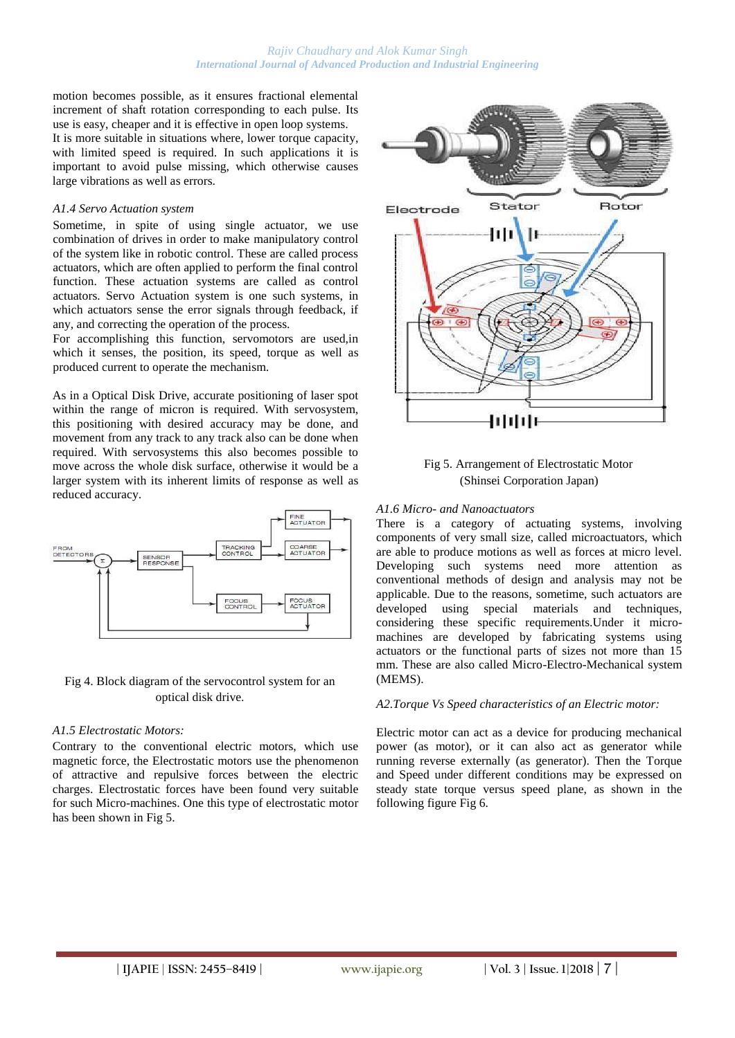motion becomes possible, as it ensures fractional elemental increment of shaft rotation corresponding to each pulse. Its use is easy, cheaper and it is effective in open loop systems. It is more suitable in situations where, lower torque capacity, with limited speed is required. In such applications it is important to avoid pulse missing, which otherwise causes large vibrations as well as errors.

#### *A1.4 Servo Actuation system*

Sometime, in spite of using single actuator, we use combination of drives in order to make manipulatory control of the system like in robotic control. These are called process actuators, which are often applied to perform the final control function. These actuation systems are called as control actuators. Servo Actuation system is one such systems, in which actuators sense the error signals through feedback, if any, and correcting the operation of the process.

For accomplishing this function, servomotors are used,in which it senses, the position, its speed, torque as well as produced current to operate the mechanism.

As in a Optical Disk Drive, accurate positioning of laser spot within the range of micron is required. With servosystem, this positioning with desired accuracy may be done, and movement from any track to any track also can be done when required. With servosystems this also becomes possible to move across the whole disk surface, otherwise it would be a larger system with its inherent limits of response as well as reduced accuracy.



### Fig 4. Block diagram of the servocontrol system for an optical disk drive.

#### *A1.5 Electrostatic Motors:*

Contrary to the conventional electric motors, which use magnetic force, the Electrostatic motors use the phenomenon of attractive and repulsive forces between the electric charges. Electrostatic forces have been found very suitable for such Micro-machines. One this type of electrostatic motor has been shown in Fig 5.





#### *A1.6 Micro- and Nanoactuators*

There is a category of actuating systems, involving components of very small size, called microactuators, which are able to produce motions as well as forces at micro level. Developing such systems need more attention as conventional methods of design and analysis may not be applicable. Due to the reasons, sometime, such actuators are developed using special materials and techniques, considering these specific requirements.Under it micromachines are developed by fabricating systems using actuators or the functional parts of sizes not more than 15 mm. These are also called Micro-Electro-Mechanical system (MEMS).

#### *A2.Torque Vs Speed characteristics of an Electric motor:*

Electric motor can act as a device for producing mechanical power (as motor), or it can also act as generator while running reverse externally (as generator). Then the Torque and Speed under different conditions may be expressed on steady state torque versus speed plane, as shown in the following figure Fig 6.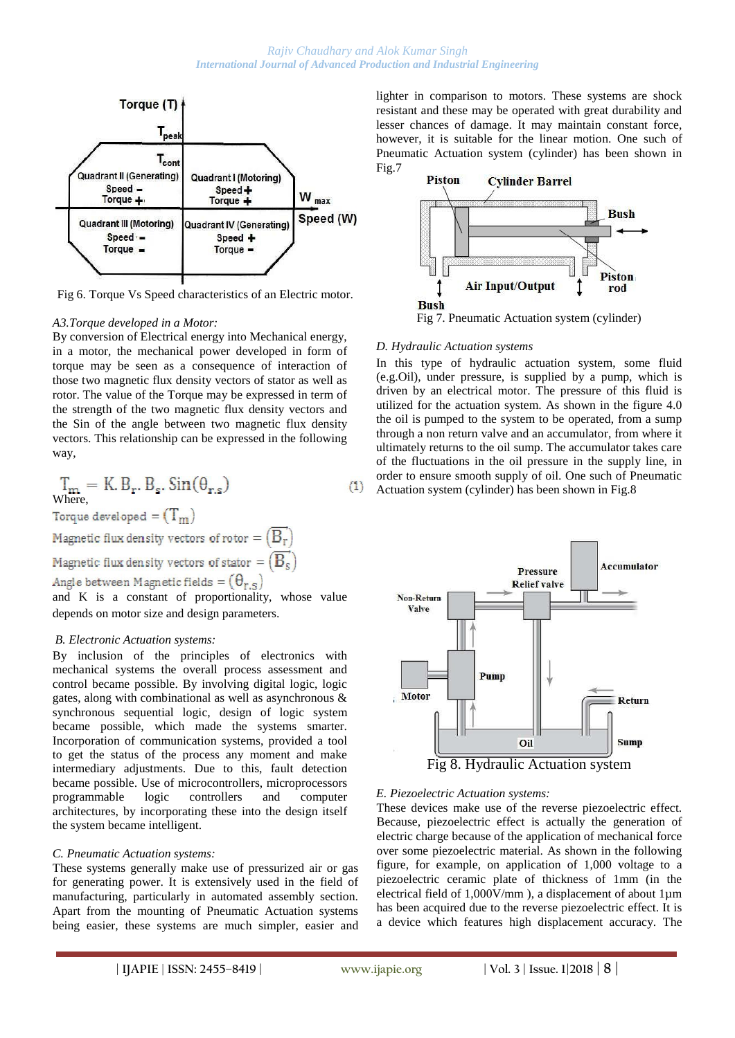

Fig 6. Torque Vs Speed characteristics of an Electric motor.

#### *A3.Torque developed in a Motor:*

By conversion of Electrical energy into Mechanical energy, in a motor, the mechanical power developed in form of torque may be seen as a consequence of interaction of those two magnetic flux density vectors of stator as well as rotor. The value of the Torque may be expressed in term of the strength of the two magnetic flux density vectors and the Sin of the angle between two magnetic flux density vectors. This relationship can be expressed in the following way,

$$
\mathbf{T}_{\mathbf{m}} = \mathbf{K} \cdot \mathbf{B}_{\mathbf{r}} \cdot \mathbf{B}_{\mathbf{s}} \cdot \mathbf{Sin}(\theta_{\mathbf{r}, \mathbf{s}}) \tag{1}
$$

Torque developed =  $(T_m)$ 

Magnetic flux density vectors of rotor =  $(B_r)$ 

Magnetic flux density vectors of stator =  $(B_s)$ 

Angle between Magnetic fields =  $(\theta_{r,s})$ 

and K is a constant of proportionality, whose value depends on motor size and design parameters.

#### *B. Electronic Actuation systems:*

By inclusion of the principles of electronics with mechanical systems the overall process assessment and control became possible. By involving digital logic, logic gates, along with combinational as well as asynchronous & synchronous sequential logic, design of logic system became possible, which made the systems smarter. Incorporation of communication systems, provided a tool to get the status of the process any moment and make intermediary adjustments. Due to this, fault detection became possible. Use of microcontrollers, microprocessors programmable logic controllers and computer architectures, by incorporating these into the design itself the system became intelligent.

#### *C. Pneumatic Actuation systems:*

These systems generally make use of pressurized air or gas for generating power. It is extensively used in the field of manufacturing, particularly in automated assembly section. Apart from the mounting of Pneumatic Actuation systems being easier, these systems are much simpler, easier and lighter in comparison to motors. These systems are shock resistant and these may be operated with great durability and lesser chances of damage. It may maintain constant force, however, it is suitable for the linear motion. One such of Pneumatic Actuation system (cylinder) has been shown in Fig.7



Fig 7. Pneumatic Actuation system (cylinder)

#### *D. Hydraulic Actuation systems*

In this type of hydraulic actuation system, some fluid (e.g.Oil), under pressure, is supplied by a pump, which is driven by an electrical motor. The pressure of this fluid is utilized for the actuation system. As shown in the figure 4.0 the oil is pumped to the system to be operated, from a sump through a non return valve and an accumulator, from where it ultimately returns to the oil sump. The accumulator takes care of the fluctuations in the oil pressure in the supply line, in order to ensure smooth supply of oil. One such of Pneumatic Actuation system (cylinder) has been shown in Fig.8



#### *E. Piezoelectric Actuation systems:*

These devices make use of the reverse piezoelectric effect. Because, piezoelectric effect is actually the generation of electric charge because of the application of mechanical force over some piezoelectric material. As shown in the following figure, for example, on application of 1,000 voltage to a piezoelectric ceramic plate of thickness of 1mm (in the electrical field of 1,000V/mm ), a displacement of about 1µm has been acquired due to the reverse piezoelectric effect. It is a device which features high displacement accuracy. The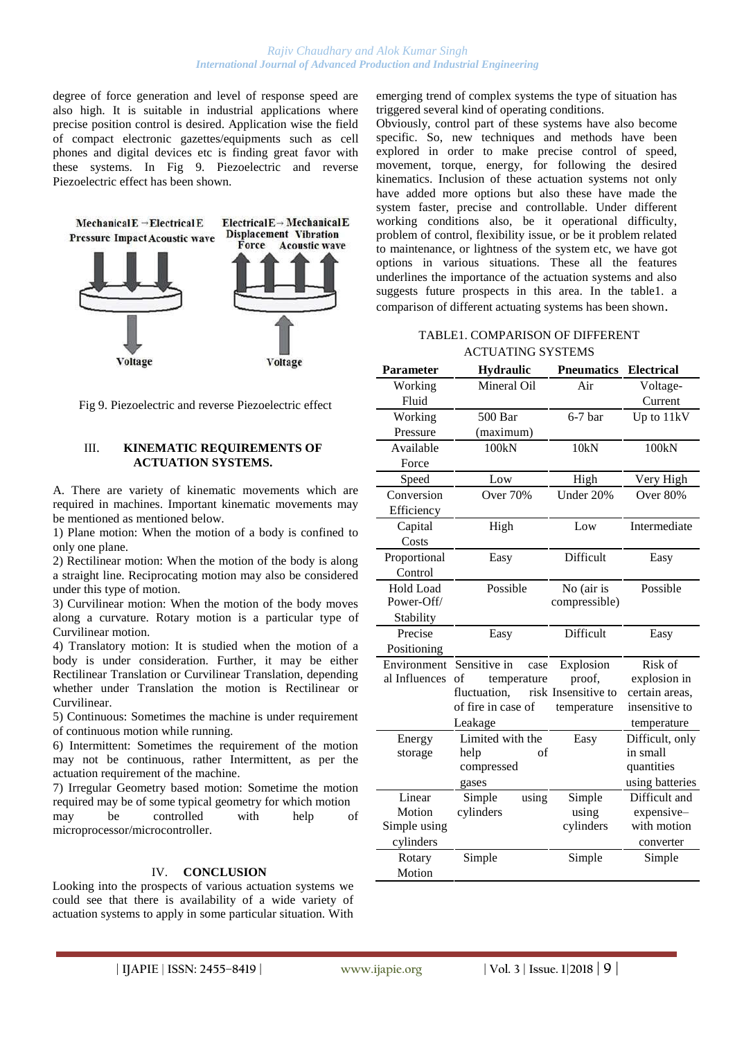degree of force generation and level of response speed are also high. It is suitable in industrial applications where precise position control is desired. Application wise the field of compact electronic gazettes/equipments such as cell phones and digital devices etc is finding great favor with these systems. In Fig 9. Piezoelectric and reverse Piezoelectric effect has been shown.



Fig 9. Piezoelectric and reverse Piezoelectric effect

#### III. **KINEMATIC REQUIREMENTS OF ACTUATION SYSTEMS.**

A. There are variety of kinematic movements which are required in machines. Important kinematic movements may be mentioned as mentioned below.

1) Plane motion: When the motion of a body is confined to only one plane.

2) Rectilinear motion: When the motion of the body is along a straight line. Reciprocating motion may also be considered under this type of motion.

3) Curvilinear motion: When the motion of the body moves along a curvature. Rotary motion is a particular type of Curvilinear motion.

4) Translatory motion: It is studied when the motion of a body is under consideration. Further, it may be either Rectilinear Translation or Curvilinear Translation, depending whether under Translation the motion is Rectilinear or Curvilinear.

5) Continuous: Sometimes the machine is under requirement of continuous motion while running.

6) Intermittent: Sometimes the requirement of the motion may not be continuous, rather Intermittent, as per the actuation requirement of the machine.

7) Irregular Geometry based motion: Sometime the motion required may be of some typical geometry for which motion may be controlled with help of microprocessor/microcontroller.

#### IV. **CONCLUSION**

Looking into the prospects of various actuation systems we could see that there is availability of a wide variety of actuation systems to apply in some particular situation. With emerging trend of complex systems the type of situation has triggered several kind of operating conditions.

Obviously, control part of these systems have also become specific. So, new techniques and methods have been explored in order to make precise control of speed, movement, torque, energy, for following the desired kinematics. Inclusion of these actuation systems not only have added more options but also these have made the system faster, precise and controllable. Under different working conditions also, be it operational difficulty, problem of control, flexibility issue, or be it problem related to maintenance, or lightness of the system etc, we have got options in various situations. These all the features underlines the importance of the actuation systems and also suggests future prospects in this area. In the table1. a comparison of different actuating systems has been shown.

## TABLE1. COMPARISON OF DIFFERENT ACTUATING SYSTEMS

| <b>Parameter</b> | Hydraulic            | <b>Pneumatics</b>   | <b>Electrical</b> |
|------------------|----------------------|---------------------|-------------------|
| Working          | Mineral Oil          | Air                 | Voltage-          |
| Fluid            |                      |                     | Current           |
| Working          | 500 Bar              | $6-7$ bar           | Up to 11kV        |
| Pressure         | (maximum)            |                     |                   |
| Available        | 100kN                | 10kN                | 100kN             |
| Force            |                      |                     |                   |
| Speed            | Low                  | High                | Very High         |
| Conversion       | <b>Over 70%</b>      | Under 20%           | Over 80%          |
| Efficiency       |                      |                     |                   |
| Capital          | High                 | Low                 | Intermediate      |
| Costs            |                      |                     |                   |
| Proportional     | Easy                 | Difficult           | Easy              |
| Control          |                      |                     |                   |
| <b>Hold Load</b> | Possible             | No (air is          | Possible          |
| Power-Off/       |                      | compressible)       |                   |
| Stability        |                      |                     |                   |
| Precise          | Easy                 | Difficult           | Easy              |
| Positioning      |                      |                     |                   |
| Environment      | Sensitive in<br>case | Explosion           | Risk of           |
| al Influences    | of<br>temperature    | proof,              | explosion in      |
|                  | fluctuation.         | risk Insensitive to | certain areas,    |
|                  | of fire in case of   | temperature         | insensitive to    |
|                  | Leakage              |                     | temperature       |
| Energy           | Limited with the     | Easy                | Difficult, only   |
| storage          | of<br>help           |                     | in small          |
|                  | compressed           |                     | quantities        |
|                  | gases                |                     | using batteries   |
| Linear           | Simple<br>using      | Simple              | Difficult and     |
| Motion           | cylinders            | using               | expensive-        |
| Simple using     |                      | cylinders           | with motion       |
| cylinders        |                      |                     | converter         |
| Rotary           | Simple               | Simple              | Simple            |
| Motion           |                      |                     |                   |

**| IJAPIE** | **ISSN: 2455–8419 | www.ijapie.org | Vol. 3 | Issue. 1|2018 | 9 |**